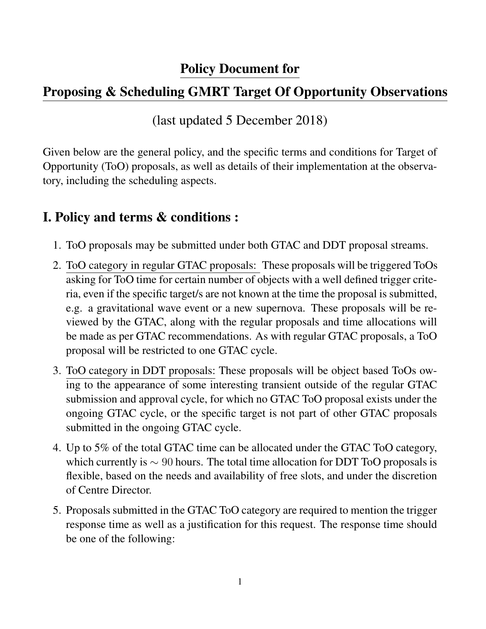## Policy Document for

## Proposing & Scheduling GMRT Target Of Opportunity Observations

(last updated 5 December 2018)

Given below are the general policy, and the specific terms and conditions for Target of Opportunity (ToO) proposals, as well as details of their implementation at the observatory, including the scheduling aspects.

## I. Policy and terms & conditions :

- 1. ToO proposals may be submitted under both GTAC and DDT proposal streams.
- 2. ToO category in regular GTAC proposals: These proposals will be triggered ToOs asking for ToO time for certain number of objects with a well defined trigger criteria, even if the specific target/s are not known at the time the proposal is submitted, e.g. a gravitational wave event or a new supernova. These proposals will be reviewed by the GTAC, along with the regular proposals and time allocations will be made as per GTAC recommendations. As with regular GTAC proposals, a ToO proposal will be restricted to one GTAC cycle.
- 3. ToO category in DDT proposals: These proposals will be object based ToOs owing to the appearance of some interesting transient outside of the regular GTAC submission and approval cycle, for which no GTAC ToO proposal exists under the ongoing GTAC cycle, or the specific target is not part of other GTAC proposals submitted in the ongoing GTAC cycle.
- 4. Up to 5% of the total GTAC time can be allocated under the GTAC ToO category, which currently is  $\sim$  90 hours. The total time allocation for DDT ToO proposals is flexible, based on the needs and availability of free slots, and under the discretion of Centre Director.
- 5. Proposals submitted in the GTAC ToO category are required to mention the trigger response time as well as a justification for this request. The response time should be one of the following: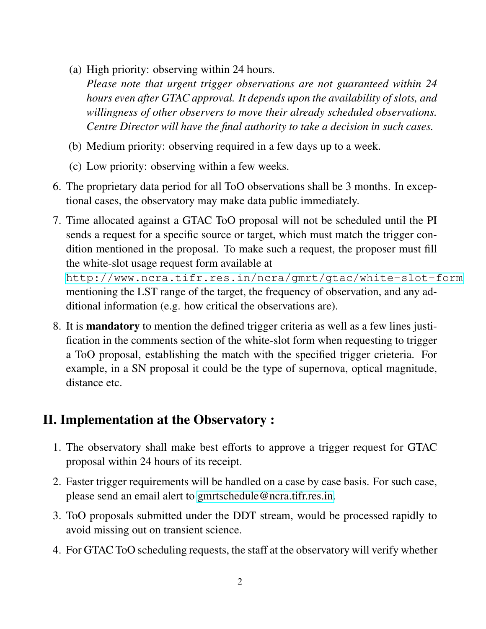(a) High priority: observing within 24 hours.

*Please note that urgent trigger observations are not guaranteed within 24 hours even after GTAC approval. It depends upon the availability of slots, and willingness of other observers to move their already scheduled observations. Centre Director will have the final authority to take a decision in such cases.*

- (b) Medium priority: observing required in a few days up to a week.
- (c) Low priority: observing within a few weeks.
- 6. The proprietary data period for all ToO observations shall be 3 months. In exceptional cases, the observatory may make data public immediately.
- 7. Time allocated against a GTAC ToO proposal will not be scheduled until the PI sends a request for a specific source or target, which must match the trigger condition mentioned in the proposal. To make such a request, the proposer must fill the white-slot usage request form available at

[http://www.ncra.tifr.res.in/ncra/gmrt/gtac/white-slot-form](http://www.ncra.tifr.res.in/ncra/gmrt/gtac/white-slot-form ) mentioning the LST range of the target, the frequency of observation, and any additional information (e.g. how critical the observations are).

8. It is mandatory to mention the defined trigger criteria as well as a few lines justification in the comments section of the white-slot form when requesting to trigger a ToO proposal, establishing the match with the specified trigger crieteria. For example, in a SN proposal it could be the type of supernova, optical magnitude, distance etc.

## II. Implementation at the Observatory :

- 1. The observatory shall make best efforts to approve a trigger request for GTAC proposal within 24 hours of its receipt.
- 2. Faster trigger requirements will be handled on a case by case basis. For such case, please send an email alert to [gmrtschedule@ncra.tifr.res.in.](mailto:gmrtschedule@ncra.tifr.res.in)
- 3. ToO proposals submitted under the DDT stream, would be processed rapidly to avoid missing out on transient science.
- 4. For GTAC ToO scheduling requests, the staff at the observatory will verify whether